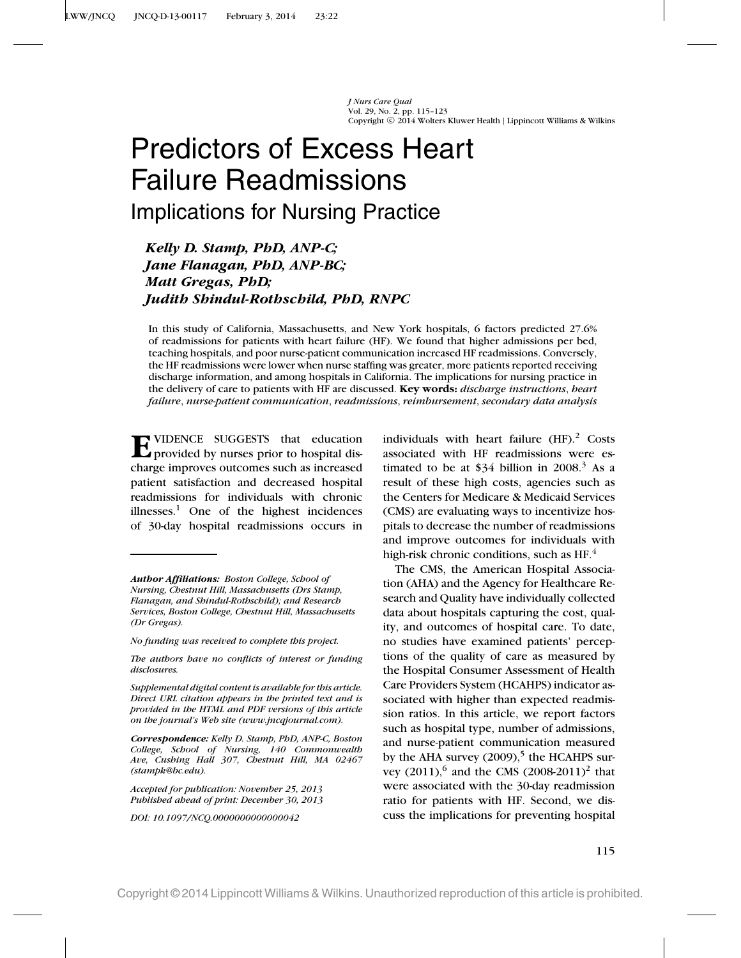*J Nurs Care Qual* Vol. 29, No. 2, pp. 115–123 Copyright © 2014 Wolters Kluwer Health | Lippincott Williams & Wilkins

# Predictors of Excess Heart Failure Readmissions Implications for Nursing Practice

*Kelly D. Stamp, PhD, ANP-C; Jane Flanagan, PhD, ANP-BC; Matt Gregas, PhD; Judith Shindul-Rothschild, PhD, RNPC*

In this study of California, Massachusetts, and New York hospitals, 6 factors predicted 27.6% of readmissions for patients with heart failure (HF). We found that higher admissions per bed, teaching hospitals, and poor nurse-patient communication increased HF readmissions. Conversely, the HF readmissions were lower when nurse staffing was greater, more patients reported receiving discharge information, and among hospitals in California. The implications for nursing practice in the delivery of care to patients with HF are discussed. **Key words:** *discharge instructions*, *heart failure*, *nurse-patient communication*, *readmissions*, *reimbursement*, *secondary data analysis*

**E**VIDENCE SUGGESTS that education charge improves outcomes such as increased patient satisfaction and decreased hospital readmissions for individuals with chronic illnesses. $\frac{1}{1}$  One of the highest incidences of 30-day hospital readmissions occurs in

*No funding was received to complete this project.*

*The authors have no conflicts of interest or funding disclosures.*

*Correspondence: Kelly D. Stamp, PhD, ANP-C, Boston College, School of Nursing, 140 Commonwealth Ave, Cushing Hall 307, Chestnut Hill, MA 02467 [\(stampk@bc.edu\)](mailto:stampk@bc.edu).*

*Accepted for publication: November 25, 2013 Published ahead of print: December 30, 2013*

*DOI: 10.1097/NCQ.0000000000000042*

individuals with heart failure  $(HF)$ .<sup>2</sup> Costs associated with HF readmissions were estimated to be at  $$34$  billion in 2008.<sup>3</sup> As a result of these high costs, agencies such as the Centers for Medicare & Medicaid Services (CMS) are evaluating ways to incentivize hospitals to decrease the number of readmissions and improve outcomes for individuals with high-risk chronic conditions, such as  $HF<sup>4</sup>$ 

The CMS, the American Hospital Association (AHA) and the Agency for Healthcare Research and Quality have individually collected data about hospitals capturing the cost, quality, and outcomes of hospital care. To date, no studies have examined patients' perceptions of the quality of care as measured by the Hospital Consumer Assessment of Health Care Providers System (HCAHPS) indicator associated with higher than expected readmission ratios. In this article, we report factors such as hospital type, number of admissions, and nurse-patient communication measured by the AHA survey  $(2009)$ ,<sup>5</sup> the HCAHPS survey  $(2011)$ , and the CMS  $(2008-2011)^2$  that were associated with the 30-day readmission ratio for patients with HF. Second, we discuss the implications for preventing hospital

*Author Affiliations: Boston College, School of Nursing, Chestnut Hill, Massachusetts (Drs Stamp, Flanagan, and Shindul-Rothschild); and Research Services, Boston College, Chestnut Hill, Massachusetts (Dr Gregas).*

*Supplemental digital content is available for this article. Direct URL citation appears in the printed text and is provided in the HTML and PDF versions of this article on the journal's Web site [\(www.jncqjournal.com\)](http://www.jncqjournal.com).*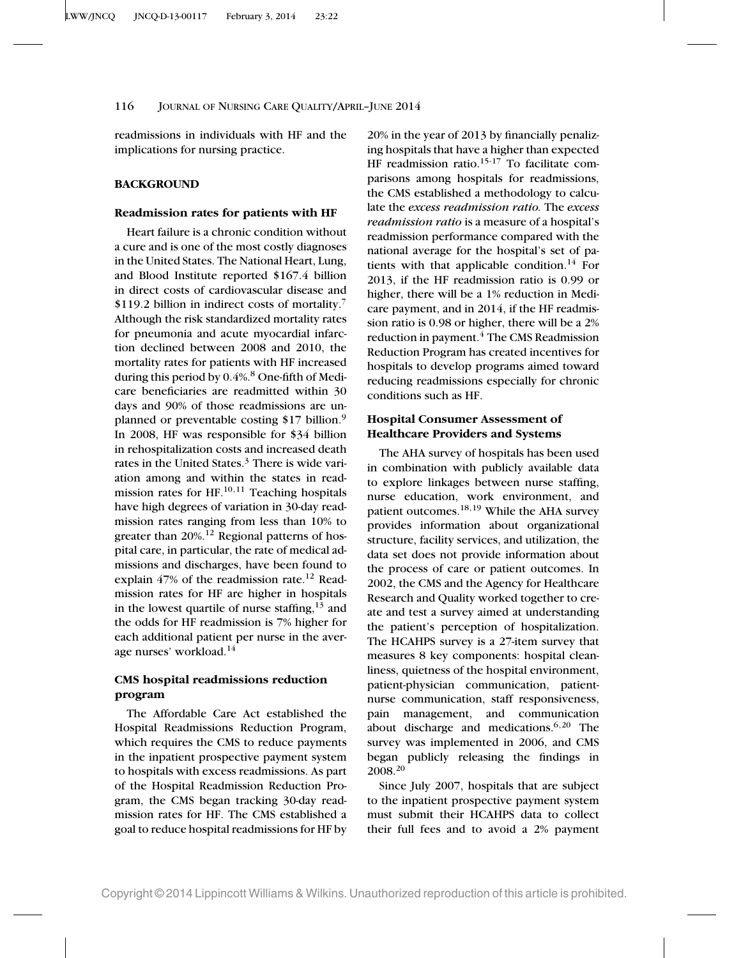readmissions in individuals with HF and the implications for nursing practice.

### **BACKGROUND**

## **Readmission rates for patients with HF**

Heart failure is a chronic condition without a cure and is one of the most costly diagnoses in the United States. The National Heart, Lung, and Blood Institute reported \$167.4 billion in direct costs of cardiovascular disease and \$119.2 billion in indirect costs of mortality.<sup>7</sup> Although the risk standardized mortality rates for pneumonia and acute myocardial infarction declined between 2008 and 2010, the mortality rates for patients with HF increased during this period by 0.4%.<sup>8</sup> One-fifth of Medicare beneficiaries are readmitted within 30 days and 90% of those readmissions are unplanned or preventable costing \$17 billion.<sup>9</sup> In 2008, HF was responsible for \$34 billion in rehospitalization costs and increased death rates in the United States.<sup>3</sup> There is wide variation among and within the states in readmission rates for  $HF<sup>10,11</sup>$  Teaching hospitals have high degrees of variation in 30-day readmission rates ranging from less than 10% to greater than  $20\%$ .<sup>12</sup> Regional patterns of hospital care, in particular, the rate of medical admissions and discharges, have been found to explain  $47%$  of the readmission rate.<sup>12</sup> Readmission rates for HF are higher in hospitals in the lowest quartile of nurse staffing,  $13$  and the odds for HF readmission is 7% higher for each additional patient per nurse in the average nurses' workload.<sup>14</sup>

# **CMS hospital readmissions reduction program**

The Affordable Care Act established the Hospital Readmissions Reduction Program, which requires the CMS to reduce payments in the inpatient prospective payment system to hospitals with excess readmissions. As part of the Hospital Readmission Reduction Program, the CMS began tracking 30-day readmission rates for HF. The CMS established a goal to reduce hospital readmissions for HF by

20% in the year of 2013 by financially penalizing hospitals that have a higher than expected HF readmission ratio.15-17 To facilitate comparisons among hospitals for readmissions, the CMS established a methodology to calculate the *excess readmission ratio.* The *excess readmission ratio* is a measure of a hospital's readmission performance compared with the national average for the hospital's set of patients with that applicable condition.<sup>14</sup> For 2013, if the HF readmission ratio is 0.99 or higher, there will be a 1% reduction in Medicare payment, and in 2014, if the HF readmission ratio is 0.98 or higher, there will be a 2% reduction in payment.4 The CMS Readmission Reduction Program has created incentives for hospitals to develop programs aimed toward reducing readmissions especially for chronic conditions such as HF.

## **Hospital Consumer Assessment of Healthcare Providers and Systems**

The AHA survey of hospitals has been used in combination with publicly available data to explore linkages between nurse staffing, nurse education, work environment, and patient outcomes.18,19 While the AHA survey provides information about organizational structure, facility services, and utilization, the data set does not provide information about the process of care or patient outcomes. In 2002, the CMS and the Agency for Healthcare Research and Quality worked together to create and test a survey aimed at understanding the patient's perception of hospitalization. The HCAHPS survey is a 27-item survey that measures 8 key components: hospital cleanliness, quietness of the hospital environment, patient-physician communication, patientnurse communication, staff responsiveness, pain management, and communication about discharge and medications. $6,20$  The survey was implemented in 2006, and CMS began publicly releasing the findings in 2008.20

Since July 2007, hospitals that are subject to the inpatient prospective payment system must submit their HCAHPS data to collect their full fees and to avoid a 2% payment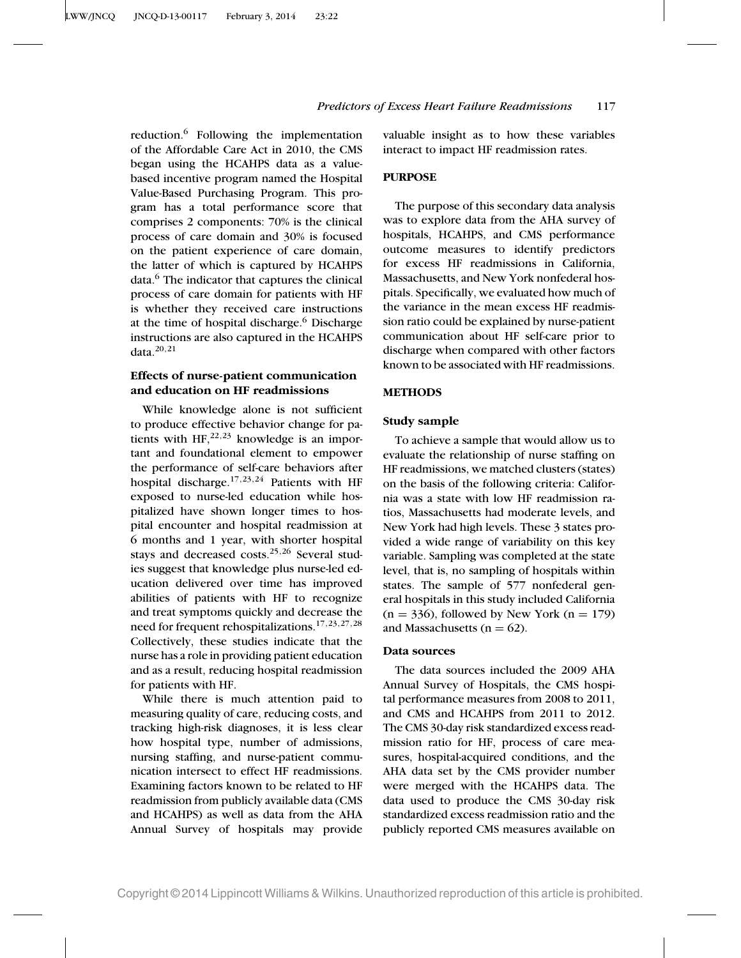reduction.<sup>6</sup> Following the implementation of the Affordable Care Act in 2010, the CMS began using the HCAHPS data as a valuebased incentive program named the Hospital Value-Based Purchasing Program. This program has a total performance score that comprises 2 components: 70% is the clinical process of care domain and 30% is focused on the patient experience of care domain, the latter of which is captured by HCAHPS data.6 The indicator that captures the clinical process of care domain for patients with HF is whether they received care instructions at the time of hospital discharge.<sup>6</sup> Discharge instructions are also captured in the HCAHPS data. $20,21$ 

# **Effects of nurse-patient communication and education on HF readmissions**

While knowledge alone is not sufficient to produce effective behavior change for patients with  $HF<sub>1</sub><sup>22,23</sup>$  knowledge is an important and foundational element to empower the performance of self-care behaviors after hospital discharge.<sup>17,23,24</sup> Patients with HF exposed to nurse-led education while hospitalized have shown longer times to hospital encounter and hospital readmission at 6 months and 1 year, with shorter hospital stays and decreased costs.<sup>25,26</sup> Several studies suggest that knowledge plus nurse-led education delivered over time has improved abilities of patients with HF to recognize and treat symptoms quickly and decrease the need for frequent rehospitalizations.17,23,27,28 Collectively, these studies indicate that the nurse has a role in providing patient education and as a result, reducing hospital readmission for patients with HF.

While there is much attention paid to measuring quality of care, reducing costs, and tracking high-risk diagnoses, it is less clear how hospital type, number of admissions, nursing staffing, and nurse-patient communication intersect to effect HF readmissions. Examining factors known to be related to HF readmission from publicly available data (CMS and HCAHPS) as well as data from the AHA Annual Survey of hospitals may provide valuable insight as to how these variables interact to impact HF readmission rates.

## **PURPOSE**

The purpose of this secondary data analysis was to explore data from the AHA survey of hospitals, HCAHPS, and CMS performance outcome measures to identify predictors for excess HF readmissions in California, Massachusetts, and New York nonfederal hospitals. Specifically, we evaluated how much of the variance in the mean excess HF readmission ratio could be explained by nurse-patient communication about HF self-care prior to discharge when compared with other factors known to be associated with HF readmissions.

### **METHODS**

#### **Study sample**

To achieve a sample that would allow us to evaluate the relationship of nurse staffing on HF readmissions, we matched clusters (states) on the basis of the following criteria: California was a state with low HF readmission ratios, Massachusetts had moderate levels, and New York had high levels. These 3 states provided a wide range of variability on this key variable. Sampling was completed at the state level, that is, no sampling of hospitals within states. The sample of 577 nonfederal general hospitals in this study included California  $(n = 336)$ , followed by New York  $(n = 179)$ and Massachusetts ( $n = 62$ ).

#### **Data sources**

The data sources included the 2009 AHA Annual Survey of Hospitals, the CMS hospital performance measures from 2008 to 2011, and CMS and HCAHPS from 2011 to 2012. The CMS 30-day risk standardized excess readmission ratio for HF, process of care measures, hospital-acquired conditions, and the AHA data set by the CMS provider number were merged with the HCAHPS data. The data used to produce the CMS 30-day risk standardized excess readmission ratio and the publicly reported CMS measures available on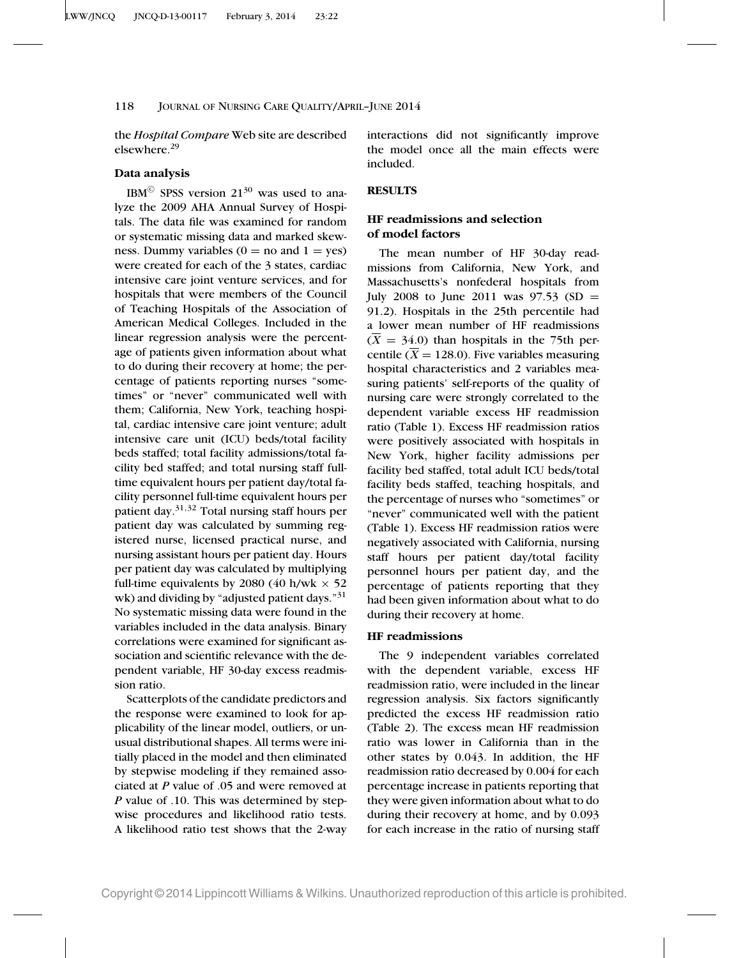the *Hospital Compare* Web site are described elsewhere.29

## **Data analysis**

IBM<sup>©</sup> SPSS version  $21^{30}$  was used to analyze the 2009 AHA Annual Survey of Hospitals. The data file was examined for random or systematic missing data and marked skewness. Dummy variables  $(0 = no$  and  $1 = yes)$ were created for each of the 3 states, cardiac intensive care joint venture services, and for hospitals that were members of the Council of Teaching Hospitals of the Association of American Medical Colleges. Included in the linear regression analysis were the percentage of patients given information about what to do during their recovery at home; the percentage of patients reporting nurses "sometimes" or "never" communicated well with them; California, New York, teaching hospital, cardiac intensive care joint venture; adult intensive care unit (ICU) beds/total facility beds staffed; total facility admissions/total facility bed staffed; and total nursing staff fulltime equivalent hours per patient day/total facility personnel full-time equivalent hours per patient day.31,32 Total nursing staff hours per patient day was calculated by summing registered nurse, licensed practical nurse, and nursing assistant hours per patient day. Hours per patient day was calculated by multiplying full-time equivalents by 2080 (40 h/wk  $\times$  52 wk) and dividing by "adjusted patient days."<sup>31</sup> No systematic missing data were found in the variables included in the data analysis. Binary correlations were examined for significant association and scientific relevance with the dependent variable, HF 30-day excess readmission ratio.

Scatterplots of the candidate predictors and the response were examined to look for applicability of the linear model, outliers, or unusual distributional shapes. All terms were initially placed in the model and then eliminated by stepwise modeling if they remained associated at *P* value of .05 and were removed at *P* value of .10. This was determined by stepwise procedures and likelihood ratio tests. A likelihood ratio test shows that the 2-way interactions did not significantly improve the model once all the main effects were included.

## **RESULTS**

## **HF readmissions and selection of model factors**

The mean number of HF 30-day readmissions from California, New York, and Massachusetts's nonfederal hospitals from July 2008 to June 2011 was  $97.53$  (SD = 91.2). Hospitals in the 25th percentile had a lower mean number of HF readmissions  $(\overline{X} = 34.0)$  than hospitals in the 75th percentile  $(\overline{X} = 128.0)$ . Five variables measuring hospital characteristics and 2 variables measuring patients' self-reports of the quality of nursing care were strongly correlated to the dependent variable excess HF readmission ratio (Table 1). Excess HF readmission ratios were positively associated with hospitals in New York, higher facility admissions per facility bed staffed, total adult ICU beds/total facility beds staffed, teaching hospitals, and the percentage of nurses who "sometimes" or "never" communicated well with the patient (Table 1). Excess HF readmission ratios were negatively associated with California, nursing staff hours per patient day/total facility personnel hours per patient day, and the percentage of patients reporting that they had been given information about what to do during their recovery at home.

#### **HF readmissions**

The 9 independent variables correlated with the dependent variable, excess HF readmission ratio, were included in the linear regression analysis. Six factors significantly predicted the excess HF readmission ratio (Table 2). The excess mean HF readmission ratio was lower in California than in the other states by 0.043. In addition, the HF readmission ratio decreased by 0.004 for each percentage increase in patients reporting that they were given information about what to do during their recovery at home, and by 0.093 for each increase in the ratio of nursing staff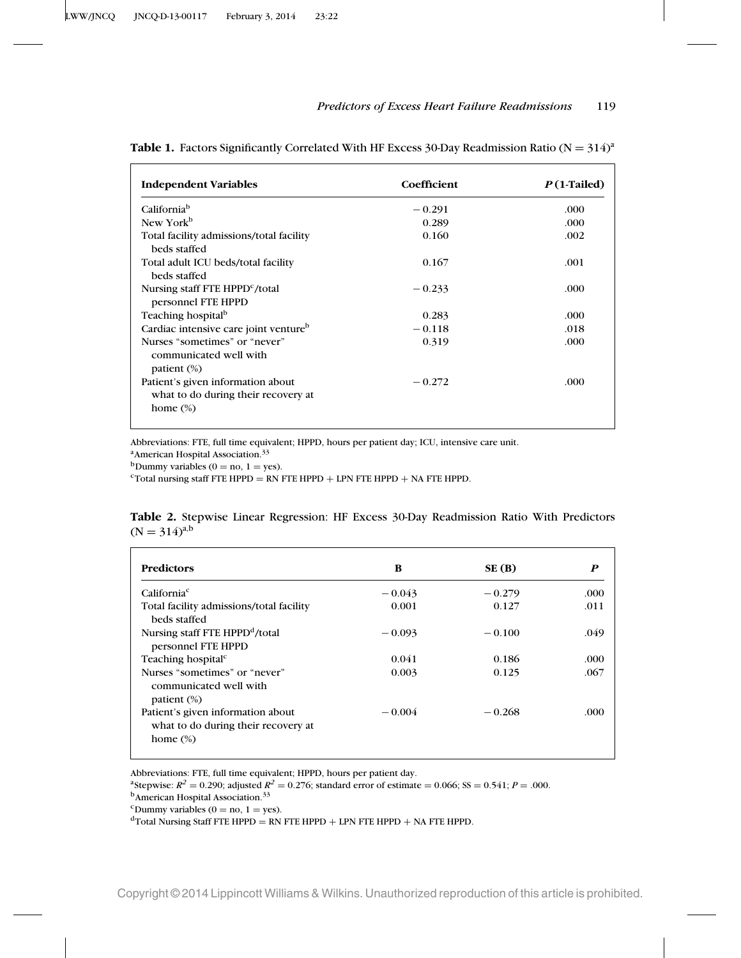| <b>Independent Variables</b>                                                            | Coefficient | $P(1-Tailed)$ |  |
|-----------------------------------------------------------------------------------------|-------------|---------------|--|
| California <sup>b</sup>                                                                 | $-0.291$    | .000          |  |
| New York <sup>b</sup>                                                                   | 0.289       | .000          |  |
| Total facility admissions/total facility<br>beds staffed                                | 0.160       | .002          |  |
| Total adult ICU beds/total facility<br>beds staffed                                     | 0.167       | .001          |  |
| Nursing staff FTE $HPPDc/total$<br>personnel FTE HPPD                                   | $-0.233$    | .000          |  |
| Teaching hospital <sup>b</sup>                                                          | 0.283       | .000          |  |
| Cardiac intensive care joint venture <sup>b</sup>                                       | $-0.118$    | .018          |  |
| Nurses "sometimes" or "never"<br>communicated well with<br>patient $(\%)$               | 0.319       | .000          |  |
| Patient's given information about<br>what to do during their recovery at<br>home $(\%)$ | $-0.272$    | .000          |  |

**Table 1.** Factors Significantly Correlated With HF Excess 30-Day Readmission Ratio ( $N = 314$ )<sup>a</sup>

Abbreviations: FTE, full time equivalent; HPPD, hours per patient day; ICU, intensive care unit.

<sup>a</sup>American Hospital Association.<sup>33</sup><br><sup>b</sup>Dummy variables (0 = no, 1 = yes).

 $\mathrm{C}^{\mathrm{c}}$ Total nursing staff FTE HPPD = RN FTE HPPD + LPN FTE HPPD + NA FTE HPPD.

**Table 2.** Stepwise Linear Regression: HF Excess 30-Day Readmission Ratio With Predictors  $(N = 314)^{a,b}$ 

| <b>Predictors</b>                                                                       | B        | SE(B)    | P    |
|-----------------------------------------------------------------------------------------|----------|----------|------|
| California <sup>c</sup>                                                                 | $-0.043$ | $-0.279$ | .000 |
| Total facility admissions/total facility<br>beds staffed                                | 0.001    | 0.127    | .011 |
| Nursing staff FTE HPPD <sup>d</sup> /total<br>personnel FTE HPPD                        | $-0.093$ | $-0.100$ | .049 |
| Teaching hospital <sup>c</sup>                                                          | 0.041    | 0.186    | .000 |
| Nurses "sometimes" or "never"<br>communicated well with<br>patient $(\%)$               | 0.003    | 0.125    | .067 |
| Patient's given information about<br>what to do during their recovery at<br>home $(\%)$ | $-0.004$ | $-0.268$ | .000 |

Abbreviations: FTE, full time equivalent; HPPD, hours per patient day.

<sup>a</sup>Stepwise:  $R^2 = 0.290$ ; adjusted  $R^2 = 0.276$ ; standard error of estimate = 0.066; SS = 0.541; *P* = .000.<br><sup>b</sup>American Hospital Association.<sup>33</sup><br><sup>c</sup>Dummy variables (0 = no, 1 = yes).

 $\text{d}^{\text{d}}$ Total Nursing Staff FTE HPPD = RN FTE HPPD + LPN FTE HPPD + NA FTE HPPD.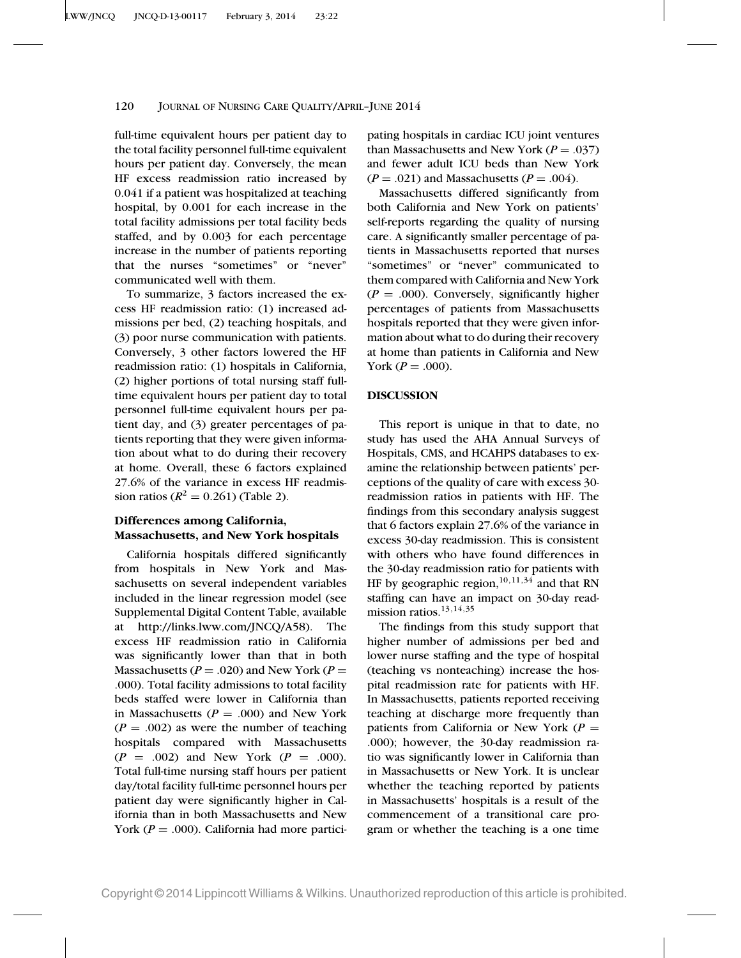full-time equivalent hours per patient day to the total facility personnel full-time equivalent hours per patient day. Conversely, the mean HF excess readmission ratio increased by 0.041 if a patient was hospitalized at teaching hospital, by 0.001 for each increase in the total facility admissions per total facility beds staffed, and by 0.003 for each percentage increase in the number of patients reporting that the nurses "sometimes" or "never" communicated well with them.

To summarize, 3 factors increased the excess HF readmission ratio: (1) increased admissions per bed, (2) teaching hospitals, and (3) poor nurse communication with patients. Conversely, 3 other factors lowered the HF readmission ratio: (1) hospitals in California, (2) higher portions of total nursing staff fulltime equivalent hours per patient day to total personnel full-time equivalent hours per patient day, and (3) greater percentages of patients reporting that they were given information about what to do during their recovery at home. Overall, these 6 factors explained 27.6% of the variance in excess HF readmission ratios ( $R^2 = 0.261$ ) (Table 2).

# **Differences among California, Massachusetts, and New York hospitals**

California hospitals differed significantly from hospitals in New York and Massachusetts on several independent variables included in the linear regression model (see Supplemental Digital Content Table, available at http://links.lww.com/JNCQ/A58). The excess HF readmission ratio in California was significantly lower than that in both Massachusetts  $(P = .020)$  and New York  $(P =$ .000). Total facility admissions to total facility beds staffed were lower in California than in Massachusetts  $(P = .000)$  and New York  $(P = .002)$  as were the number of teaching hospitals compared with Massachusetts (*P* = .002) and New York (*P* = .000). Total full-time nursing staff hours per patient day/total facility full-time personnel hours per patient day were significantly higher in California than in both Massachusetts and New York ( $P = .000$ ). California had more participating hospitals in cardiac ICU joint ventures than Massachusetts and New York ( $P = .037$ ) and fewer adult ICU beds than New York  $(P = .021)$  and Massachusetts  $(P = .004)$ .

Massachusetts differed significantly from both California and New York on patients' self-reports regarding the quality of nursing care. A significantly smaller percentage of patients in Massachusetts reported that nurses "sometimes" or "never" communicated to them compared with California and New York  $(P = .000)$ . Conversely, significantly higher percentages of patients from Massachusetts hospitals reported that they were given information about what to do during their recovery at home than patients in California and New York ( $P = .000$ ).

## **DISCUSSION**

This report is unique in that to date, no study has used the AHA Annual Surveys of Hospitals, CMS, and HCAHPS databases to examine the relationship between patients' perceptions of the quality of care with excess 30 readmission ratios in patients with HF. The findings from this secondary analysis suggest that 6 factors explain 27.6% of the variance in excess 30-day readmission. This is consistent with others who have found differences in the 30-day readmission ratio for patients with HF by geographic region,  $10,11,34$  and that RN staffing can have an impact on 30-day readmission ratios. $13,14,35$ 

The findings from this study support that higher number of admissions per bed and lower nurse staffing and the type of hospital (teaching vs nonteaching) increase the hospital readmission rate for patients with HF. In Massachusetts, patients reported receiving teaching at discharge more frequently than patients from California or New York (*P* = .000); however, the 30-day readmission ratio was significantly lower in California than in Massachusetts or New York. It is unclear whether the teaching reported by patients in Massachusetts' hospitals is a result of the commencement of a transitional care program or whether the teaching is a one time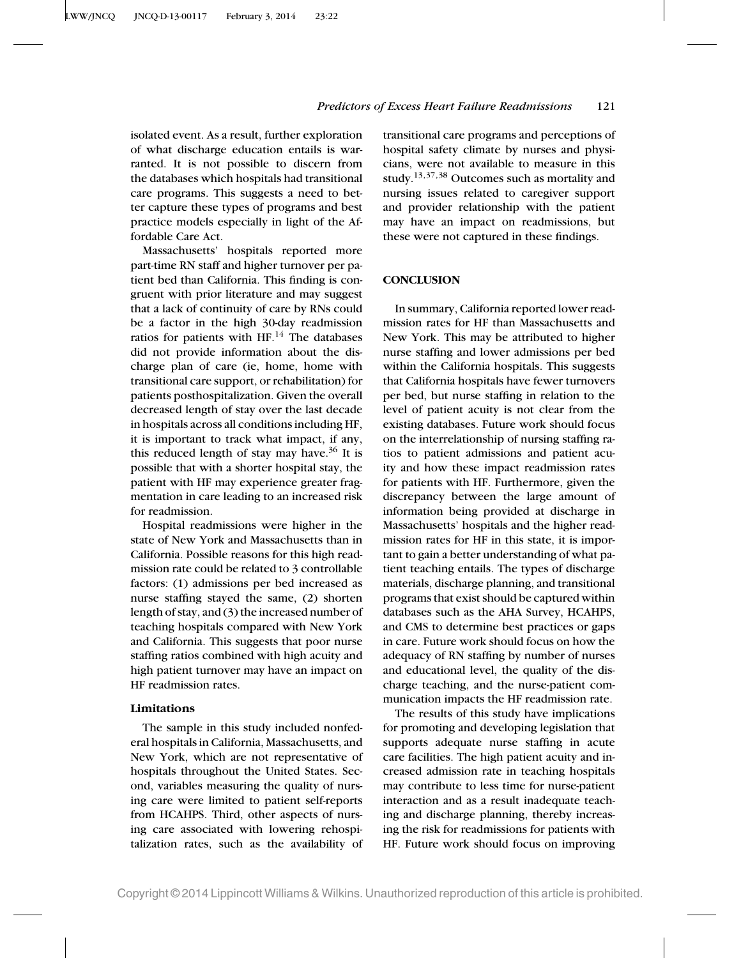isolated event. As a result, further exploration of what discharge education entails is warranted. It is not possible to discern from the databases which hospitals had transitional care programs. This suggests a need to better capture these types of programs and best practice models especially in light of the Affordable Care Act.

Massachusetts' hospitals reported more part-time RN staff and higher turnover per patient bed than California. This finding is congruent with prior literature and may suggest that a lack of continuity of care by RNs could be a factor in the high 30-day readmission ratios for patients with  $HF<sup>14</sup>$ . The databases did not provide information about the discharge plan of care (ie, home, home with transitional care support, or rehabilitation) for patients posthospitalization. Given the overall decreased length of stay over the last decade in hospitals across all conditions including HF, it is important to track what impact, if any, this reduced length of stay may have.<sup>36</sup> It is possible that with a shorter hospital stay, the patient with HF may experience greater fragmentation in care leading to an increased risk for readmission.

Hospital readmissions were higher in the state of New York and Massachusetts than in California. Possible reasons for this high readmission rate could be related to 3 controllable factors: (1) admissions per bed increased as nurse staffing stayed the same, (2) shorten length of stay, and (3) the increased number of teaching hospitals compared with New York and California. This suggests that poor nurse staffing ratios combined with high acuity and high patient turnover may have an impact on HF readmission rates.

#### **Limitations**

The sample in this study included nonfederal hospitals in California, Massachusetts, and New York, which are not representative of hospitals throughout the United States. Second, variables measuring the quality of nursing care were limited to patient self-reports from HCAHPS. Third, other aspects of nursing care associated with lowering rehospitalization rates, such as the availability of transitional care programs and perceptions of hospital safety climate by nurses and physicians, were not available to measure in this study.<sup>13,37,38</sup> Outcomes such as mortality and nursing issues related to caregiver support and provider relationship with the patient may have an impact on readmissions, but these were not captured in these findings.

## **CONCLUSION**

In summary, California reported lower readmission rates for HF than Massachusetts and New York. This may be attributed to higher nurse staffing and lower admissions per bed within the California hospitals. This suggests that California hospitals have fewer turnovers per bed, but nurse staffing in relation to the level of patient acuity is not clear from the existing databases. Future work should focus on the interrelationship of nursing staffing ratios to patient admissions and patient acuity and how these impact readmission rates for patients with HF. Furthermore, given the discrepancy between the large amount of information being provided at discharge in Massachusetts' hospitals and the higher readmission rates for HF in this state, it is important to gain a better understanding of what patient teaching entails. The types of discharge materials, discharge planning, and transitional programs that exist should be captured within databases such as the AHA Survey, HCAHPS, and CMS to determine best practices or gaps in care. Future work should focus on how the adequacy of RN staffing by number of nurses and educational level, the quality of the discharge teaching, and the nurse-patient communication impacts the HF readmission rate.

The results of this study have implications for promoting and developing legislation that supports adequate nurse staffing in acute care facilities. The high patient acuity and increased admission rate in teaching hospitals may contribute to less time for nurse-patient interaction and as a result inadequate teaching and discharge planning, thereby increasing the risk for readmissions for patients with HF. Future work should focus on improving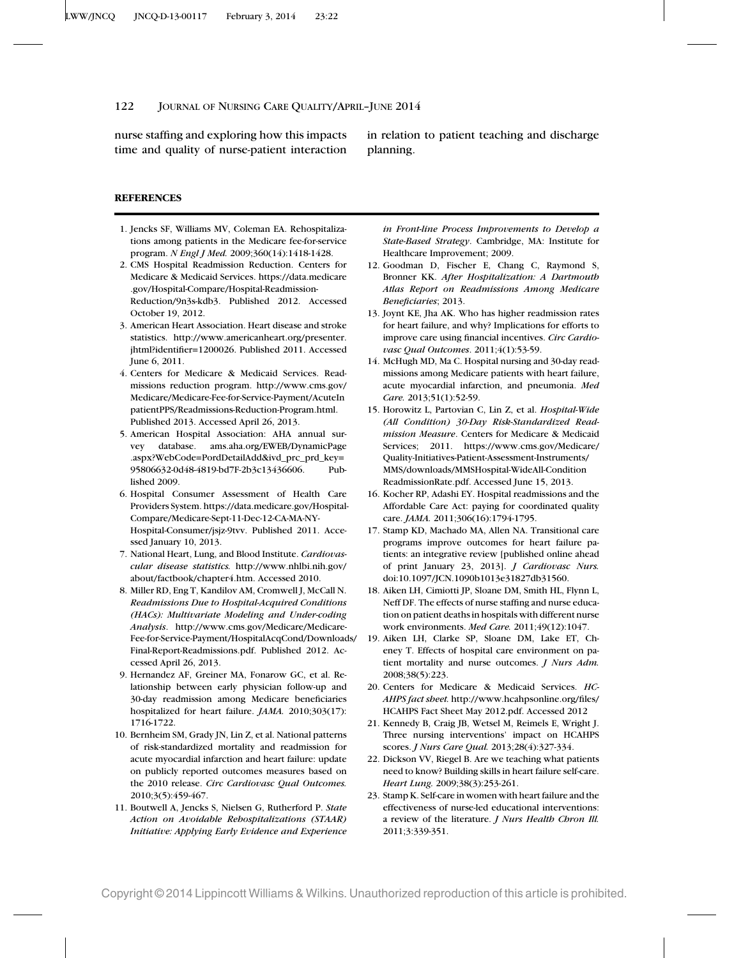nurse staffing and exploring how this impacts time and quality of nurse-patient interaction in relation to patient teaching and discharge planning.

#### **REFERENCES**

- 1. Jencks SF, Williams MV, Coleman EA. Rehospitalizations among patients in the Medicare fee-for-service program. *N Engl J Med.* 2009;360(14):1418-1428.
- 2. CMS Hospital Readmission Reduction. Centers for Medicare & Medicaid Services. https://data.medicare .gov/Hospital-Compare/Hospital-Readmission-Reduction/9n3s-kdb3. Published 2012. Accessed October 19, 2012.
- 3. American Heart Association. Heart disease and stroke statistics. [http://www.americanheart.org/presenter.](http://www.americanheart.org/presenter.jhtml?identifier=1200026) [jhtml?identifier=1200026.](http://www.americanheart.org/presenter.jhtml?identifier=1200026) Published 2011. Accessed June 6, 2011.
- 4. Centers for Medicare & Medicaid Services. Readmissions reduction program. [http://www.cms.gov/](http://www.cms.gov/Medicare/Medicare-Fee-for-Service-Payment/AcuteInpatientPPS/Readmissions-Reduction-Program.html) [Medicare/Medicare-Fee-for-Service-Payment/AcuteIn](http://www.cms.gov/Medicare/Medicare-Fee-for-Service-Payment/AcuteInpatientPPS/Readmissions-Reduction-Program.html) [patientPPS/Readmissions-Reduction-Program.html.](http://www.cms.gov/Medicare/Medicare-Fee-for-Service-Payment/AcuteInpatientPPS/Readmissions-Reduction-Program.html) Published 2013. Accessed April 26, 2013.
- 5. American Hospital Association: AHA annual survey database. ams.aha.org/EWEB/DynamicPage .aspx?WebCode=PordDetailAdd&ivd\_prc\_prd\_key= 95806632-0d48-4819-bd7F-2b3c13436606. Published 2009.
- 6. Hospital Consumer Assessment of Health Care Providers System. https://data.medicare.gov/Hospital-Compare/Medicare-Sept-11-Dec-12-CA-MA-NY-Hospital-Consumer/jsjz-9tvv. Published 2011. Accessed January 10, 2013.
- 7. National Heart, Lung, and Blood Institute. *Cardiovascular disease statistics.* [http://www.nhlbi.nih.gov/](http://www.nhlbi.nih.gov/about/factbook/chapter4.htm) [about/factbook/chapter4.htm.](http://www.nhlbi.nih.gov/about/factbook/chapter4.htm) Accessed 2010.
- 8. Miller RD, Eng T, Kandilov AM, Cromwell J, McCall N. *Readmissions Due to Hospital-Acquired Conditions (HACs): Multivariate Modeling and Under-coding Analysis*. [http://www.cms.gov/Medicare/Medicare-](http://www.cms.gov/Medicare/Medicare-Fee-for-Service-Payment/HospitalAcqCond/Downloads/Final-Report-Readmissions.pdf)[Fee-for-Service-Payment/HospitalAcqCond/Downloads/](http://www.cms.gov/Medicare/Medicare-Fee-for-Service-Payment/HospitalAcqCond/Downloads/Final-Report-Readmissions.pdf) [Final-Report-Readmissions.pdf.](http://www.cms.gov/Medicare/Medicare-Fee-for-Service-Payment/HospitalAcqCond/Downloads/Final-Report-Readmissions.pdf) Published 2012. Accessed April 26, 2013.
- 9. Hernandez AF, Greiner MA, Fonarow GC, et al. Relationship between early physician follow-up and 30-day readmission among Medicare beneficiaries hospitalized for heart failure. *JAMA.* 2010;303(17): 1716-1722.
- 10. Bernheim SM, Grady JN, Lin Z, et al. National patterns of risk-standardized mortality and readmission for acute myocardial infarction and heart failure: update on publicly reported outcomes measures based on the 2010 release. *Circ Cardiovasc Qual Outcomes.* 2010;3(5):459-467.
- 11. Boutwell A, Jencks S, Nielsen G, Rutherford P. *State Action on Avoidable Rehospitalizations (STAAR) Initiative: Applying Early Evidence and Experience*

*in Front-line Process Improvements to Develop a State-Based Strategy*. Cambridge, MA: Institute for Healthcare Improvement; 2009.

- 12. Goodman D, Fischer E, Chang C, Raymond S, Bronner KK. *After Hospitalization: A Dartmouth Atlas Report on Readmissions Among Medicare Beneficiaries*; 2013.
- 13. Joynt KE, Jha AK. Who has higher readmission rates for heart failure, and why? Implications for efforts to improve care using financial incentives. *Circ Cardiovasc Qual Outcomes*. 2011;4(1):53-59.
- 14. McHugh MD, Ma C. Hospital nursing and 30-day readmissions among Medicare patients with heart failure, acute myocardial infarction, and pneumonia. *Med Care.* 2013;51(1):52-59.
- 15. Horowitz L, Partovian C, Lin Z, et al. *Hospital-Wide (All Condition) 30-Day Risk-Standardized Readmission Measure*. Centers for Medicare & Medicaid Services; 2011. https:/[/www.cms.gov/Medicare/](http://www.cms.gov/Medicare/Quality-Initiatives-Patient-Assessment-Instruments/MMS/downloads/MMSHospital-WideAll-ConditionReadmissionRate.pdf) [Quality-Initiatives-Patient-Assessment-Instruments/](http://www.cms.gov/Medicare/Quality-Initiatives-Patient-Assessment-Instruments/MMS/downloads/MMSHospital-WideAll-ConditionReadmissionRate.pdf) [MMS/downloads/MMSHospital-WideAll-Condition](http://www.cms.gov/Medicare/Quality-Initiatives-Patient-Assessment-Instruments/MMS/downloads/MMSHospital-WideAll-ConditionReadmissionRate.pdf) [ReadmissionRate.pdf.](http://www.cms.gov/Medicare/Quality-Initiatives-Patient-Assessment-Instruments/MMS/downloads/MMSHospital-WideAll-ConditionReadmissionRate.pdf) Accessed June 15, 2013.
- 16. Kocher RP, Adashi EY. Hospital readmissions and the Affordable Care Act: paying for coordinated quality care. *JAMA.* 2011;306(16):1794-1795.
- 17. Stamp KD, Machado MA, Allen NA. Transitional care programs improve outcomes for heart failure patients: an integrative review [published online ahead of print January 23, 2013]. *J Cardiovasc Nurs.* doi:10.1097/JCN.1090b1013e31827db31560.
- 18. Aiken LH, Cimiotti JP, Sloane DM, Smith HL, Flynn L, Neff DF. The effects of nurse staffing and nurse education on patient deaths in hospitals with different nurse work environments. *Med Care.* 2011;49(12):1047.
- 19. Aiken LH, Clarke SP, Sloane DM, Lake ET, Cheney T. Effects of hospital care environment on patient mortality and nurse outcomes. *J Nurs Adm.* 2008;38(5):223.
- 20. Centers for Medicare & Medicaid Services. *HC-AHPS fact sheet.* [http://www.hcahpsonline.org/files/](http://www.hcahpsonline.org/files/HCAHPS) [HCAHPS](http://www.hcahpsonline.org/files/HCAHPS) Fact Sheet May 2012.pdf. Accessed 2012
- 21. Kennedy B, Craig JB, Wetsel M, Reimels E, Wright J. Three nursing interventions' impact on HCAHPS scores. *J Nurs Care Qual.* 2013;28(4):327-334.
- 22. Dickson VV, Riegel B. Are we teaching what patients need to know? Building skills in heart failure self-care. *Heart Lung.* 2009;38(3):253-261.
- 23. Stamp K. Self-care in women with heart failure and the effectiveness of nurse-led educational interventions: a review of the literature. *J Nurs Health Chron Ill.* 2011;3:339-351.